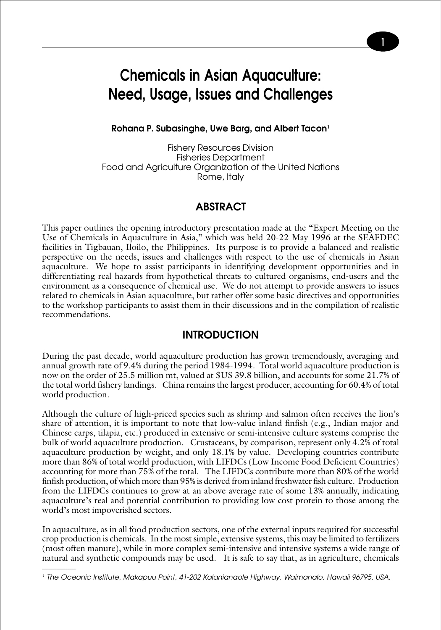# **Chemicals in Asian Aquaculture: Need, Usage, Issues and Challenges**

**1**

#### **Rohana P. Subasinghe, Uwe Barg, and Albert Tacon1**

Fishery Resources Division Fisheries Department Food and Agriculture Organization of the United Nations Rome, Italy

#### **ABSTRACT**

This paper outlines the opening introductory presentation made at the "Expert Meeting on the Use of Chemicals in Aquaculture in Asia," which was held 20-22 May 1996 at the SEAFDEC facilities in Tigbauan, Iloilo, the Philippines. Its purpose is to provide a balanced and realistic perspective on the needs, issues and challenges with respect to the use of chemicals in Asian aquaculture. We hope to assist participants in identifying development opportunities and in differentiating real hazards from hypothetical threats to cultured organisms, end-users and the environment as a consequence of chemical use. We do not attempt to provide answers to issues related to chemicals in Asian aquaculture, but rather offer some basic directives and opportunities to the workshop participants to assist them in their discussions and in the compilation of realistic recommendations.

#### **INTRODUCTION**

During the past decade, world aquaculture production has grown tremendously, averaging and annual growth rate of 9.4% during the period 1984-1994. Total world aquaculture production is now on the order of 25.5 million mt, valued at \$US 39.8 billion, and accounts for some 21.7% of the total world fishery landings. China remains the largest producer, accounting for 60.4% of total world production.

Although the culture of high-priced species such as shrimp and salmon often receives the lion's share of attention, it is important to note that low-value inland finfish (e.g., Indian major and Chinese carps, tilapia, etc.) produced in extensive or semi-intensive culture systems comprise the bulk of world aquaculture production. Crustaceans, by comparison, represent only 4.2% of total aquaculture production by weight, and only 18.1% by value. Developing countries contribute more than 86% of total world production, with LIFDCs (Low Income Food Deficient Countries) accounting for more than 75% of the total. The LIFDCs contribute more than 80% of the world finfish production, of which more than 95% is derived from inland freshwater fish culture. Production from the LIFDCs continues to grow at an above average rate of some 13% annually, indicating aquaculture's real and potential contribution to providing low cost protein to those among the world's most impoverished sectors.

In aquaculture, as in all food production sectors, one of the external inputs required for successful crop production is chemicals. In the most simple, extensive systems, this may be limited to fertilizers (most often manure), while in more complex semi-intensive and intensive systems a wide range of natural and synthetic compounds may be used. It is safe to say that, as in agriculture, chemicals

<sup>1</sup> The Oceanic Institute, Makapuu Point, 41-202 Kalanianaole Highway, Waimanalo, Hawaii 96795, USA.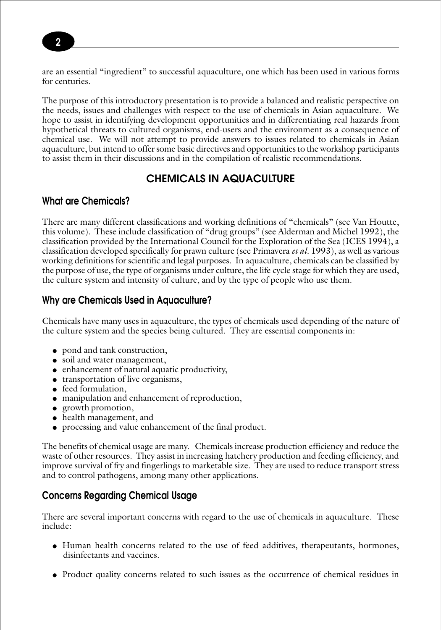are an essential "ingredient" to successful aquaculture, one which has been used in various forms for centuries.

The purpose of this introductory presentation is to provide a balanced and realistic perspective on the needs, issues and challenges with respect to the use of chemicals in Asian aquaculture. We hope to assist in identifying development opportunities and in differentiating real hazards from hypothetical threats to cultured organisms, end-users and the environment as a consequence of chemical use. We will not attempt to provide answers to issues related to chemicals in Asian aquaculture, but intend to offer some basic directives and opportunities to the workshop participants to assist them in their discussions and in the compilation of realistic recommendations.

## **CHEMICALS IN AQUACULTURE**

#### **What are Chemicals?**

There are many different classifications and working definitions of "chemicals" (see Van Houtte, this volume). These include classification of "drug groups" (see Alderman and Michel 1992), the classification provided by the International Council for the Exploration of the Sea (ICES 1994), a classification developed specifically for prawn culture (see Primavera *et al*. 1993), as well as various working definitions for scientific and legal purposes. In aquaculture, chemicals can be classified by the purpose of use, the type of organisms under culture, the life cycle stage for which they are used, the culture system and intensity of culture, and by the type of people who use them.

### **Why are Chemicals Used in Aquaculture?**

Chemicals have many uses in aquaculture, the types of chemicals used depending of the nature of the culture system and the species being cultured. They are essential components in:

- pond and tank construction,
- soil and water management,
- enhancement of natural aquatic productivity,
- transportation of live organisms,
- feed formulation.
- manipulation and enhancement of reproduction,
- growth promotion,
- health management, and
- processing and value enhancement of the final product.

The benefits of chemical usage are many. Chemicals increase production efficiency and reduce the waste of other resources. They assist in increasing hatchery production and feeding efficiency, and improve survival of fry and fingerlings to marketable size. They are used to reduce transport stress and to control pathogens, among many other applications.

## **Concerns Regarding Chemical Usage**

There are several important concerns with regard to the use of chemicals in aquaculture. These include:

- Human health concerns related to the use of feed additives, therapeutants, hormones, disinfectants and vaccines.
- Product quality concerns related to such issues as the occurrence of chemical residues in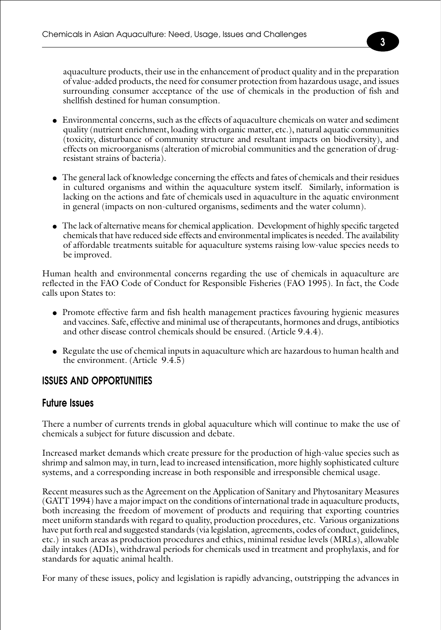aquaculture products, their use in the enhancement of product quality and in the preparation of value-added products, the need for consumer protection from hazardous usage, and issues surrounding consumer acceptance of the use of chemicals in the production of fish and shellfish destined for human consumption.

- Environmental concerns, such as the effects of aquaculture chemicals on water and sediment quality (nutrient enrichment, loading with organic matter, etc.), natural aquatic communities (toxicity, disturbance of community structure and resultant impacts on biodiversity), and effects on microorganisms (alteration of microbial communities and the generation of drugresistant strains of bacteria).
- The general lack of knowledge concerning the effects and fates of chemicals and their residues in cultured organisms and within the aquaculture system itself. Similarly, information is lacking on the actions and fate of chemicals used in aquaculture in the aquatic environment in general (impacts on non-cultured organisms, sediments and the water column).
- The lack of alternative means for chemical application. Development of highly specific targeted chemicals that have reduced side effects and environmental implicates is needed. The availability of affordable treatments suitable for aquaculture systems raising low-value species needs to be improved.

Human health and environmental concerns regarding the use of chemicals in aquaculture are reflected in the FAO Code of Conduct for Responsible Fisheries (FAO 1995). In fact, the Code calls upon States to:

- Promote effective farm and fish health management practices favouring hygienic measures and vaccines. Safe, effective and minimal use of therapeutants, hormones and drugs, antibiotics and other disease control chemicals should be ensured. (Article 9.4.4).
- Regulate the use of chemical inputs in aquaculture which are hazardous to human health and the environment. (Article 9.4.5)

## **ISSUES AND OPPORTUNITIES**

#### **Future Issues**

There a number of currents trends in global aquaculture which will continue to make the use of chemicals a subject for future discussion and debate.

Increased market demands which create pressure for the production of high-value species such as shrimp and salmon may, in turn, lead to increased intensification, more highly sophisticated culture systems, and a corresponding increase in both responsible and irresponsible chemical usage.

Recent measures such as the Agreement on the Application of Sanitary and Phytosanitary Measures (GATT 1994) have a major impact on the conditions of international trade in aquaculture products, both increasing the freedom of movement of products and requiring that exporting countries meet uniform standards with regard to quality, production procedures, etc. Various organizations have put forth real and suggested standards (via legislation, agreements, codes of conduct, guidelines, etc.) in such areas as production procedures and ethics, minimal residue levels (MRLs), allowable daily intakes (ADIs), withdrawal periods for chemicals used in treatment and prophylaxis, and for standards for aquatic animal health.

For many of these issues, policy and legislation is rapidly advancing, outstripping the advances in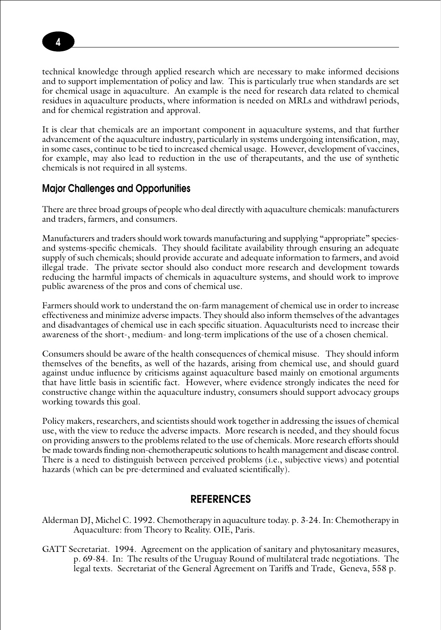technical knowledge through applied research which are necessary to make informed decisions and to support implementation of policy and law. This is particularly true when standards are set for chemical usage in aquaculture. An example is the need for research data related to chemical residues in aquaculture products, where information is needed on MRLs and withdrawl periods, and for chemical registration and approval.

It is clear that chemicals are an important component in aquaculture systems, and that further advancement of the aquaculture industry, particularly in systems undergoing intensification, may, in some cases, continue to be tied to increased chemical usage. However, development of vaccines, for example, may also lead to reduction in the use of therapeutants, and the use of synthetic chemicals is not required in all systems.

#### **Major Challenges and Opportunities**

There are three broad groups of people who deal directly with aquaculture chemicals: manufacturers and traders, farmers, and consumers.

Manufacturers and traders should work towards manufacturing and supplying "appropriate" speciesand systems-specific chemicals. They should facilitate availability through ensuring an adequate supply of such chemicals; should provide accurate and adequate information to farmers, and avoid illegal trade. The private sector should also conduct more research and development towards reducing the harmful impacts of chemicals in aquaculture systems, and should work to improve public awareness of the pros and cons of chemical use.

Farmers should work to understand the on-farm management of chemical use in order to increase effectiveness and minimize adverse impacts. They should also inform themselves of the advantages and disadvantages of chemical use in each specific situation. Aquaculturists need to increase their awareness of the short-, medium- and long-term implications of the use of a chosen chemical.

Consumers should be aware of the health consequences of chemical misuse. They should inform themselves of the benefits, as well of the hazards, arising from chemical use, and should guard against undue influence by criticisms against aquaculture based mainly on emotional arguments that have little basis in scientific fact. However, where evidence strongly indicates the need for constructive change within the aquaculture industry, consumers should support advocacy groups working towards this goal.

Policy makers, researchers, and scientists should work together in addressing the issues of chemical use, with the view to reduce the adverse impacts. More research is needed, and they should focus on providing answers to the problems related to the use of chemicals. More research efforts should be made towards finding non-chemotherapeutic solutions to health management and disease control. There is a need to distinguish between perceived problems (i.e., subjective views) and potential hazards (which can be pre-determined and evaluated scientifically).

#### **REFERENCES**

- Alderman DJ, Michel C. 1992. Chemotherapy in aquaculture today. p. 3-24. In: Chemotherapy in Aquaculture: from Theory to Reality. OIE, Paris.
- GATT Secretariat. 1994. Agreement on the application of sanitary and phytosanitary measures, p. 69-84. In: The results of the Uruguay Round of multilateral trade negotiations. The legal texts. Secretariat of the General Agreement on Tariffs and Trade, Geneva, 558 p.

**4**